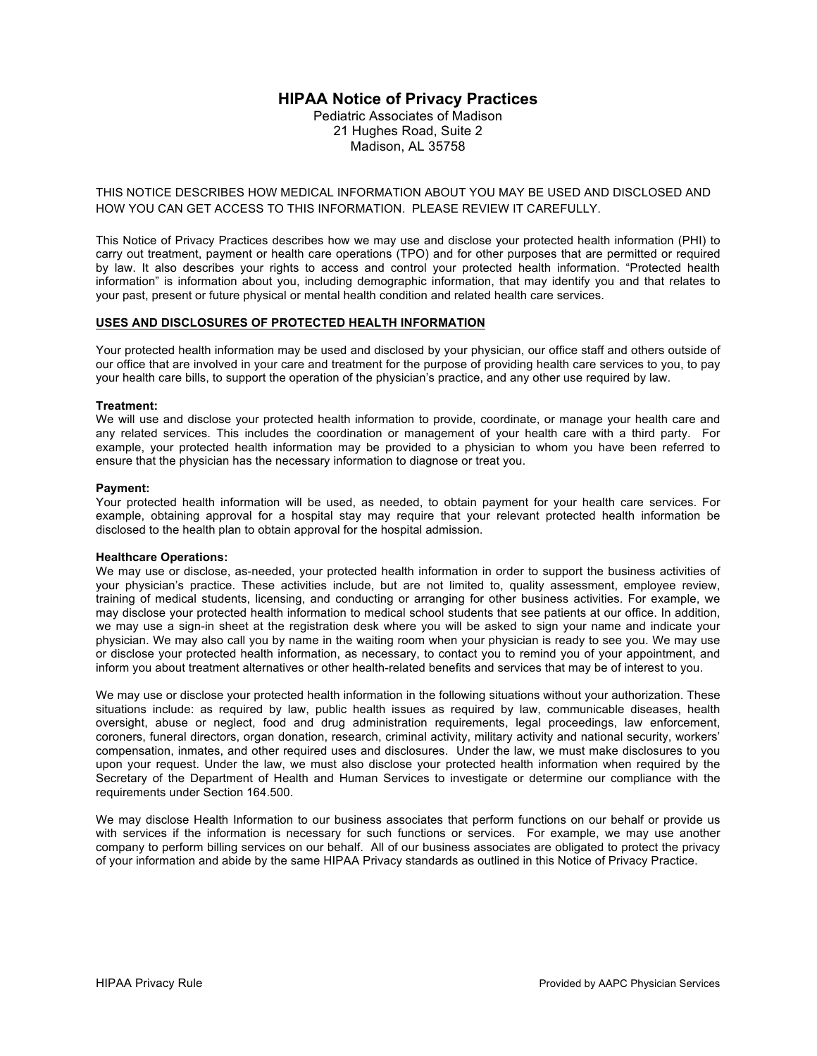# **HIPAA Notice of Privacy Practices**

Pediatric Associates of Madison 21 Hughes Road, Suite 2 Madison, AL 35758

THIS NOTICE DESCRIBES HOW MEDICAL INFORMATION ABOUT YOU MAY BE USED AND DISCLOSED AND HOW YOU CAN GET ACCESS TO THIS INFORMATION. PLEASE REVIEW IT CAREFULLY.

This Notice of Privacy Practices describes how we may use and disclose your protected health information (PHI) to carry out treatment, payment or health care operations (TPO) and for other purposes that are permitted or required by law. It also describes your rights to access and control your protected health information. "Protected health information" is information about you, including demographic information, that may identify you and that relates to your past, present or future physical or mental health condition and related health care services.

### **USES AND DISCLOSURES OF PROTECTED HEALTH INFORMATION**

Your protected health information may be used and disclosed by your physician, our office staff and others outside of our office that are involved in your care and treatment for the purpose of providing health care services to you, to pay your health care bills, to support the operation of the physician's practice, and any other use required by law.

#### **Treatment:**

We will use and disclose your protected health information to provide, coordinate, or manage your health care and any related services. This includes the coordination or management of your health care with a third party. For example, your protected health information may be provided to a physician to whom you have been referred to ensure that the physician has the necessary information to diagnose or treat you.

#### **Payment:**

Your protected health information will be used, as needed, to obtain payment for your health care services. For example, obtaining approval for a hospital stay may require that your relevant protected health information be disclosed to the health plan to obtain approval for the hospital admission.

#### **Healthcare Operations:**

We may use or disclose, as-needed, your protected health information in order to support the business activities of your physician's practice. These activities include, but are not limited to, quality assessment, employee review, training of medical students, licensing, and conducting or arranging for other business activities. For example, we may disclose your protected health information to medical school students that see patients at our office. In addition, we may use a sign-in sheet at the registration desk where you will be asked to sign your name and indicate your physician. We may also call you by name in the waiting room when your physician is ready to see you. We may use or disclose your protected health information, as necessary, to contact you to remind you of your appointment, and inform you about treatment alternatives or other health-related benefits and services that may be of interest to you.

We may use or disclose your protected health information in the following situations without your authorization. These situations include: as required by law, public health issues as required by law, communicable diseases, health oversight, abuse or neglect, food and drug administration requirements, legal proceedings, law enforcement, coroners, funeral directors, organ donation, research, criminal activity, military activity and national security, workers' compensation, inmates, and other required uses and disclosures. Under the law, we must make disclosures to you upon your request. Under the law, we must also disclose your protected health information when required by the Secretary of the Department of Health and Human Services to investigate or determine our compliance with the requirements under Section 164.500.

We may disclose Health Information to our business associates that perform functions on our behalf or provide us with services if the information is necessary for such functions or services. For example, we may use another company to perform billing services on our behalf. All of our business associates are obligated to protect the privacy of your information and abide by the same HIPAA Privacy standards as outlined in this Notice of Privacy Practice.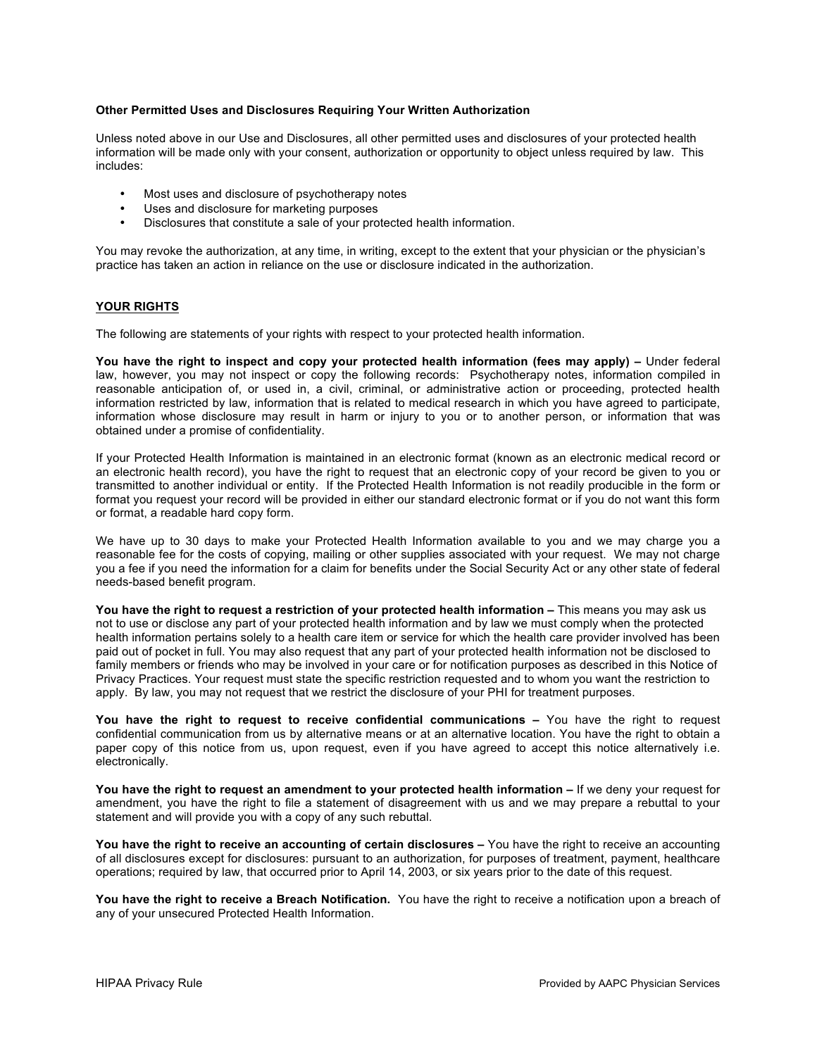#### **Other Permitted Uses and Disclosures Requiring Your Written Authorization**

Unless noted above in our Use and Disclosures, all other permitted uses and disclosures of your protected health information will be made only with your consent, authorization or opportunity to object unless required by law. This includes:

- Most uses and disclosure of psychotherapy notes
- Uses and disclosure for marketing purposes
- Disclosures that constitute a sale of your protected health information.

You may revoke the authorization, at any time, in writing, except to the extent that your physician or the physician's practice has taken an action in reliance on the use or disclosure indicated in the authorization.

## **YOUR RIGHTS**

The following are statements of your rights with respect to your protected health information.

**You have the right to inspect and copy your protected health information (fees may apply) –** Under federal law, however, you may not inspect or copy the following records: Psychotherapy notes, information compiled in reasonable anticipation of, or used in, a civil, criminal, or administrative action or proceeding, protected health information restricted by law, information that is related to medical research in which you have agreed to participate, information whose disclosure may result in harm or injury to you or to another person, or information that was obtained under a promise of confidentiality.

If your Protected Health Information is maintained in an electronic format (known as an electronic medical record or an electronic health record), you have the right to request that an electronic copy of your record be given to you or transmitted to another individual or entity. If the Protected Health Information is not readily producible in the form or format you request your record will be provided in either our standard electronic format or if you do not want this form or format, a readable hard copy form.

We have up to 30 days to make your Protected Health Information available to you and we may charge you a reasonable fee for the costs of copying, mailing or other supplies associated with your request. We may not charge you a fee if you need the information for a claim for benefits under the Social Security Act or any other state of federal needs-based benefit program.

**You have the right to request a restriction of your protected health information –** This means you may ask us not to use or disclose any part of your protected health information and by law we must comply when the protected health information pertains solely to a health care item or service for which the health care provider involved has been paid out of pocket in full. You may also request that any part of your protected health information not be disclosed to family members or friends who may be involved in your care or for notification purposes as described in this Notice of Privacy Practices. Your request must state the specific restriction requested and to whom you want the restriction to apply. By law, you may not request that we restrict the disclosure of your PHI for treatment purposes.

**You have the right to request to receive confidential communications –** You have the right to request confidential communication from us by alternative means or at an alternative location. You have the right to obtain a paper copy of this notice from us, upon request, even if you have agreed to accept this notice alternatively i.e. electronically.

**You have the right to request an amendment to your protected health information –** If we deny your request for amendment, you have the right to file a statement of disagreement with us and we may prepare a rebuttal to your statement and will provide you with a copy of any such rebuttal.

**You have the right to receive an accounting of certain disclosures –** You have the right to receive an accounting of all disclosures except for disclosures: pursuant to an authorization, for purposes of treatment, payment, healthcare operations; required by law, that occurred prior to April 14, 2003, or six years prior to the date of this request.

**You have the right to receive a Breach Notification.** You have the right to receive a notification upon a breach of any of your unsecured Protected Health Information.